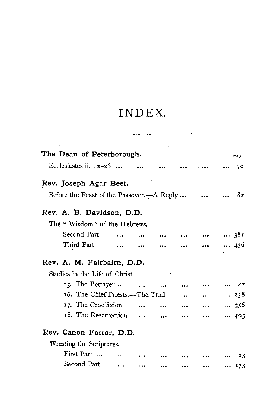## INDEX.

| The Dean of Peterborough.                 |                   |           |           |               | PAGE        |
|-------------------------------------------|-------------------|-----------|-----------|---------------|-------------|
| Ecclesiastes ii. $12-26$                  |                   |           |           |               | 70          |
| Rev. Joseph Agar Beet.                    |                   |           |           |               |             |
| Before the Feast of the Passover.—A Reply |                   |           |           |               | 82          |
| Rev. A. B. Davidson, D.D.                 |                   |           |           |               |             |
| The "Wisdom" of the Hebrews.              |                   |           |           |               |             |
| Second Part                               |                   |           |           | $ \t 381$     |             |
| Third Part                                | $\cdots$ $\cdots$ |           |           | $\dots$ 436   |             |
| Rev. A. M. Fairbairn, D.D.                |                   |           |           |               |             |
| Studies in the Life of Christ.            |                   |           |           |               |             |
| 15. The Betrayer                          |                   | $\ddotsc$ |           |               | $\cdots$ 47 |
| 16. The Chief Priests.-The Trial          |                   |           | $\ddotsc$ | 258           |             |
| 17. The Crucifixion                       |                   |           |           | $ \t  \t 356$ |             |
| 18. The Resurrection                      |                   |           | $\ddotsc$ | $ \t 405$     |             |
| Rev. Canon Farrar, D.D.                   |                   |           |           |               |             |
| Wresting the Scriptures.                  |                   |           |           |               |             |
| First Part                                |                   |           |           |               | 23          |
| Second Part                               |                   |           |           |               | 173         |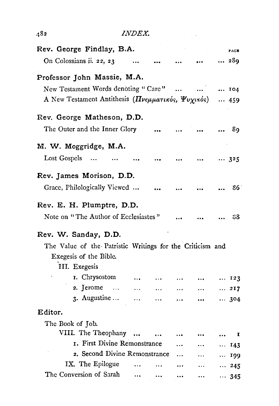| 482                                                       | <b>INDEX.</b>                          |                          |           |                                                                 |              |              |
|-----------------------------------------------------------|----------------------------------------|--------------------------|-----------|-----------------------------------------------------------------|--------------|--------------|
| Rev. George Findlay, B.A.                                 |                                        |                          |           |                                                                 |              | PAGE         |
| On Colossians ii. 22, 23                                  | $\cdots$                               |                          |           |                                                                 |              | 289          |
| Professor John Massie, M.A.                               |                                        |                          |           |                                                                 |              |              |
| New Testament Words denoting "Care"     104               |                                        |                          |           |                                                                 |              |              |
| A New Testament Antithesis (Πνεμματικός, Ψυχικός)  459    |                                        |                          |           |                                                                 |              |              |
| Rev. George Matheson, D.D.                                |                                        |                          |           |                                                                 |              |              |
| The Outer and the Inner Glory                             |                                        |                          |           |                                                                 |              | 89           |
| M. W. Moggridge, M.A.                                     |                                        |                          |           |                                                                 |              |              |
| Lost Gospels                                              |                                        | $\rightarrow$ 5 $\sigma$ | $\cdots$  | $\cdots$ $\cdots$ 325                                           |              |              |
| Rev. James Morison, D.D.                                  |                                        |                          |           |                                                                 |              |              |
| Grace, Philologically Viewed                              |                                        |                          | $\ddotsc$ |                                                                 |              | 86.          |
| Rev. E. H. Plumptre, D.D.                                 |                                        |                          |           |                                                                 |              |              |
| Note on "The Author of Ecclesiastes"                      |                                        |                          |           |                                                                 |              | 88           |
| Rev. W. Sanday, D.D.                                      |                                        |                          |           |                                                                 |              |              |
| The Value of the Patristic Writings for the Criticism and |                                        |                          |           |                                                                 |              |              |
| Exegesis of the Bible.                                    |                                        |                          |           |                                                                 |              |              |
| III. Exegesis                                             |                                        |                          |           |                                                                 |              |              |
| r. Chrysostom                                             | $\bullet$ or $\bullet$ . The $\bullet$ | $\cdots$                 | $\cdots$  | $\bullet$ . $\bullet$                                           | $\dots$ 123  |              |
| 2. Jerome $\ldots$                                        |                                        | <b>ARANGER CARDS</b>     | $\cdots$  | $\cdots$                                                        | $\cdots$ 217 |              |
| $3.$ Augustine $\qquad \ldots$                            |                                        |                          | $\cdots$  | $\cdots$                                                        |              | $\cdots$ 304 |
| Editor.                                                   |                                        |                          |           |                                                                 |              |              |
| The Book of Job.                                          |                                        |                          |           |                                                                 |              |              |
| VIII. The Theophany                                       |                                        | $\ddotsc$                |           |                                                                 | $\ddotsc$    | 1            |
| I. First Divine Remonstrance                              |                                        |                          | $\cdots$  | <b>ARACIO COM</b>                                               |              | $\cdots$ 143 |
| 2. Second Divine Remonstrance                             |                                        |                          | $\ldots$  | $\mathbf{L} \cdot \mathbf{L}$ and $\mathbf{L} \cdot \mathbf{L}$ |              | $$ 199       |
| IX. The Epilogue                                          | $\ddotsc$                              | $\cdots$                 | $\cdots$  | $\ldots$                                                        |              | $\cdots$ 245 |
| The Conversion of Sarah                                   | $\ddotsc$                              | $\ddotsc$                | $\cdots$  | $\ddotsc$                                                       |              | $\cdots$ 345 |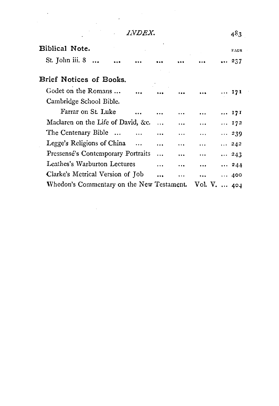$\ddot{\cdot}$ 

l,

 $\frac{1}{\sqrt{2\pi}}\frac{d\omega}{d\omega}$ 

 $\ddot{\phantom{0}}$ 

| Biblical Note.                                         |           |           | PAGE         |
|--------------------------------------------------------|-----------|-----------|--------------|
| St. John iii. 8                                        |           |           | 237          |
| Brief Notices of Books.                                |           |           |              |
| Godet on the Romans                                    |           |           | 171          |
| Cambridge School Bible.                                |           |           |              |
| Farrar on St. Luke                                     | $\cdots$  |           | 171          |
| Maclaren on the Life of David, &c.<br>$\sim$           | $\ddotsc$ | $\ddotsc$ | $\ldots$ 172 |
| The Centenary Bible<br>$\cdots$                        | $\cdots$  |           | $\cdots$ 239 |
| Legge's Religions of China<br>$\ddotsc$                | $\cdots$  |           | 242          |
| Pressensé's Contemporary Portraits<br>$\ddotsc$        | $\cdots$  | $\ddotsc$ | $\cdots$ 243 |
| Leathes's Warburton Lectures<br>.                      | $\ddotsc$ | $\cdots$  | $\cdots$ 244 |
| Clarke's Metrical Version of Tob<br>$\cdots$           |           |           | 400          |
| Whedon's Commentary on the New Testament. Vol. V.  404 |           |           |              |

 $\bar{.}$